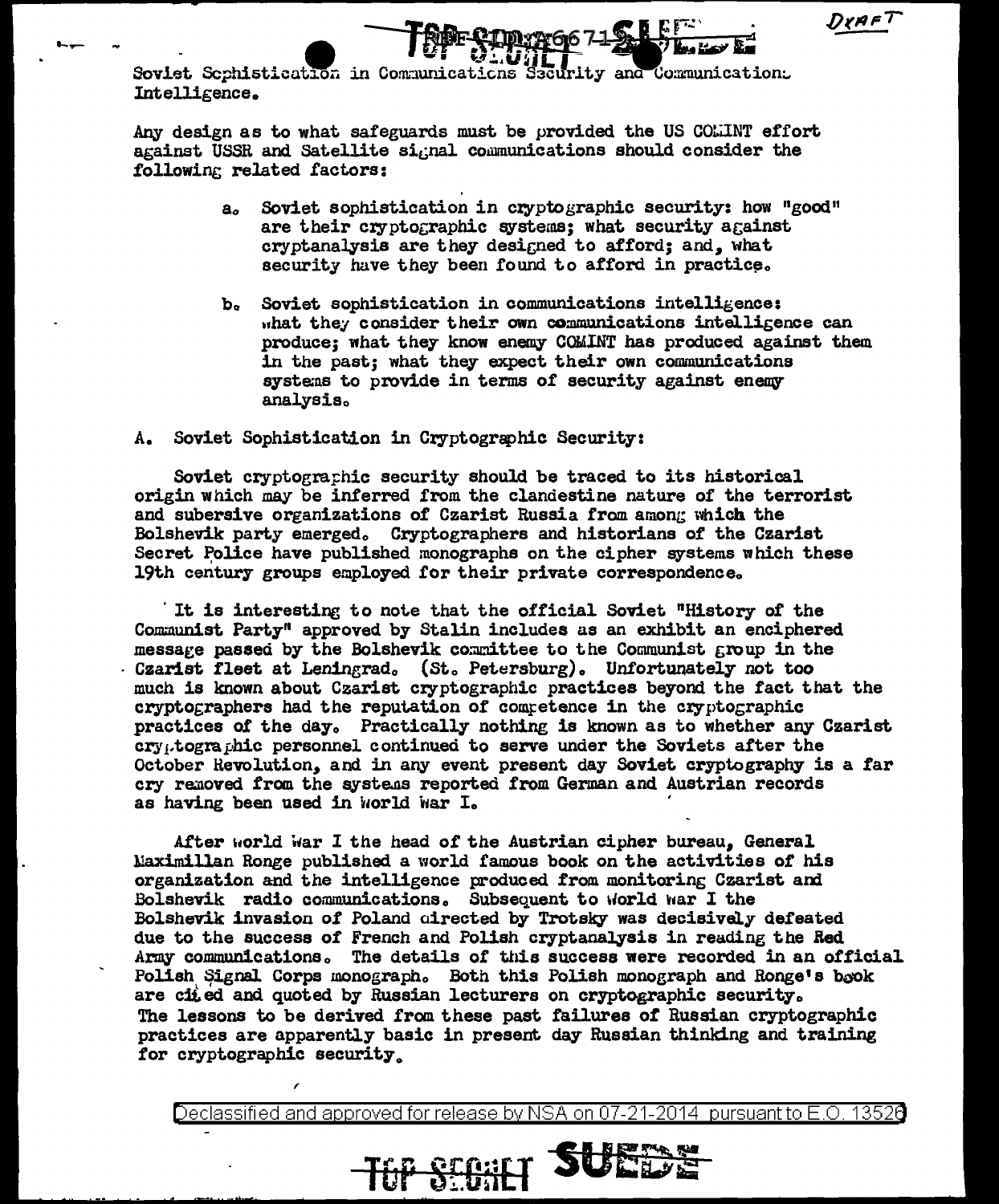DYAF<sup>7</sup>

Soviet Sephistication in Communications Security and Communication. Intelligence.

Any design as to what safeguards must be provided the US COLINT effort against USSR and Satellite signal communications should consider the following related factors:

> $a<sub>c</sub>$ Soviet sophistication in cryptographic security: how "good" are their cryptographic systems: what security against cryptanalysis are they designed to afford; and, what security have they been found to afford in practice.

**IPURG671SLEET** 

Soviet sophistication in communications intelligence:  $\mathbf{b}_{\alpha}$ what they consider their own communications intelligence can produce; what they know enemy COMINT has produced against them in the past: what they expect their own communications systems to provide in terms of security against enemy analvsis.

A. Soviet Sophistication in Cryptographic Security:

Soviet cryptographic security should be traced to its historical origin which may be inferred from the clandestine nature of the terrorist and subersive organizations of Czarist Russia from among which the Bolshevik party emerged. Cryptographers and historians of the Czarist Secret Police have published monographs on the cipher systems which these 19th century groups employed for their private correspondence.

It is interesting to note that the official Soviet "History of the Communist Party" approved by Stalin includes as an exhibit an enciphered messare passed by the Bolshevik committee to the Communist group in the Czarist fleet at Leningrad. (St. Petersburg). Unfortunately not too much is known about Czarist cryptographic practices beyond the fact that the cryptographers had the reputation of competence in the cryptographic practices of the day. Practically nothing is known as to whether any Czarist cry, tographic personnel continued to serve under the Soviets after the October Revolution, and in any event present day Soviet cryptography is a far cry removed from the systems reported from German and Austrian records as having been used in world war I.

After world war I the head of the Austrian cipher bureau, General Maximillan Ronge published a world famous book on the activities of his organization and the intelligence produced from monitoring Czarist and Bolshevik radio communications. Subsequent to world war I the Bolshevik invasion of Poland directed by Trotsky was decisively defeated due to the success of French and Polish cryptanalysis in reading the Red Army communications. The details of this success were recorded in an official Polish Signal Corps monograph. Both this Polish monograph and Ronge's book are cited and quoted by Russian lecturers on cryptographic security. The lessons to be derived from these past failures of Russian cryptographic practices are apparently basic in present day Russian thinking and training for cryptographic security.

Declassified and approved for release by NSA on 07-21-2014  $\,$  pursuant to E.O. 13526  $\,$ 

**TOP SEBRET SUED**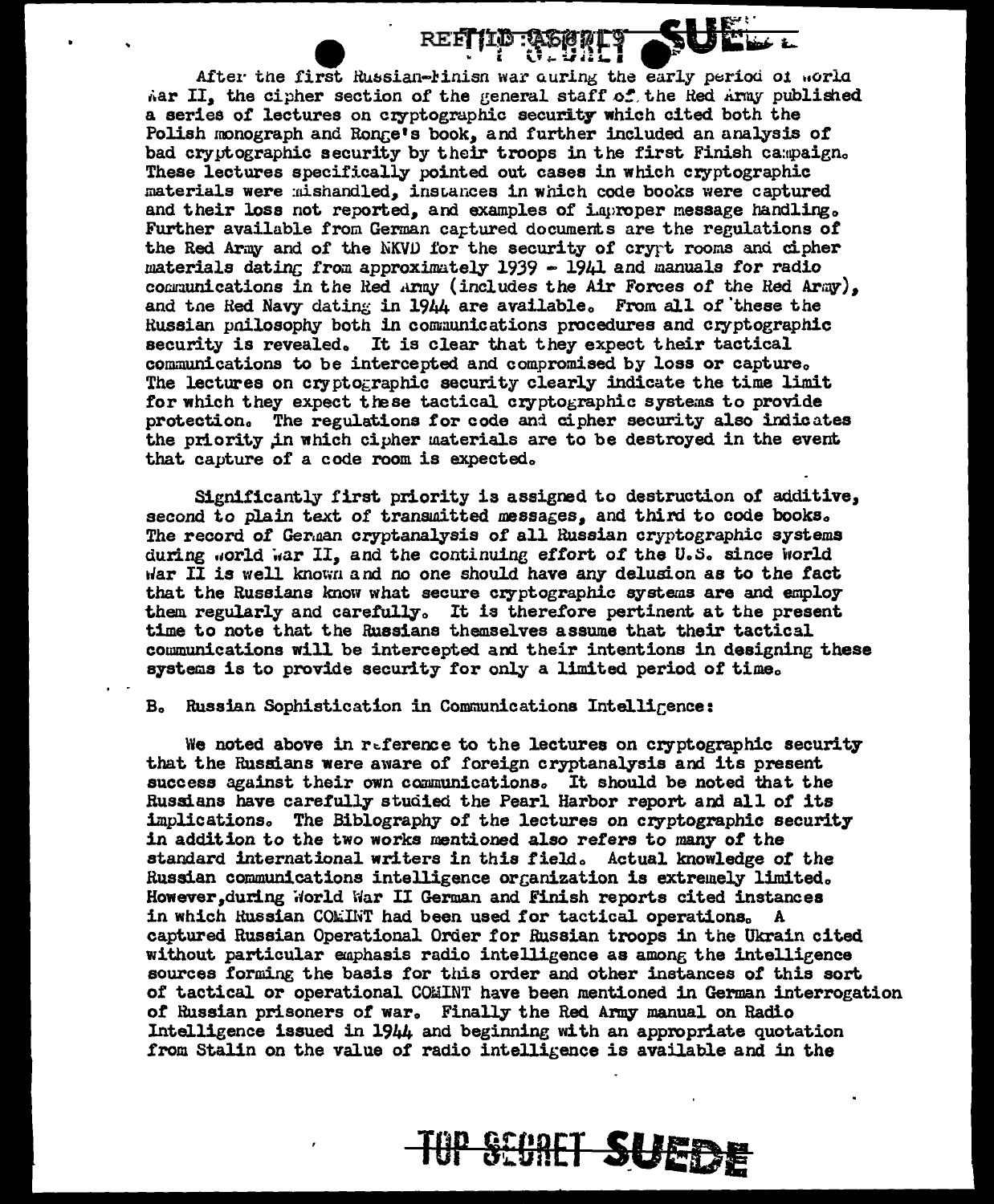After the first Russian-Finish war curing the early period of world Aar II, the cipher section of the general staff of the Red Army published a series of lectures on cryptographic security which cited both the Polish monograph and Ronge's book, and further included an analysis of bad cryptographic security by their troops in the first Finish campaign. These lectures specifically pointed out cases in which cryptographic materials were mishandled, instances in which code books were captured and their loss not reported, and examples of improper message handling. Further available from German captured documents are the regulations of the Red Army and of the NKVD for the security of crypt rooms and cipher materials dating from approximately 1939 - 1941 and manuals for radio communications in the Red Army (includes the Air Forces of the Red Army), and the Red Navy dating in 1944 are available. From all of these the Russian pnilosophy both in communications procedures and cryptographic security is revealed. It is clear that they expect their tactical communications to be intercepted and compromised by loss or capture. The lectures on cryptographic security clearly indicate the time limit for which they expect these tactical cryptographic systems to provide protection. The regulations for code and cipher security also indicates the priority in which cipher materials are to be destroyed in the event that capture of a code room is expected.

Significantly first priority is assigned to destruction of additive, second to plain text of transmitted messages, and third to code books. The record of German cryptanalysis of all Russian cryptographic systems during world war II, and the continuing effort of the U.S. since world war II is well known and no one should have any delusion as to the fact that the Russians know what secure cryptographic systems are and employ them regularly and carefully. It is therefore pertinent at the present time to note that the Russians themselves assume that their tactical communications will be intercepted and their intentions in designing these systems is to provide security for only a limited period of time.

## B. Russian Sophistication in Communications Intelligence:

We noted above in reference to the lectures on cryptographic security that the Russians were aware of foreign cryptanalysis and its present success against their own communications. It should be noted that the Russians have carefully studied the Pearl Harbor report and all of its implications. The Biblography of the lectures on cryptographic security in addition to the two works mentioned also refers to many of the standard international writers in this field. Actual knowledge of the Russian communications intelligence organization is extremely limited. However, during World War II German and Finish reports cited instances in which Russian COMINT had been used for tactical operations. A captured Russian Operational Order for Russian troops in the Ukrain cited without particular emphasis radio intelligence as among the intelligence sources forming the basis for this order and other instances of this sort of tactical or operational COMINT have been mentioned in German interrogation of Russian prisoners of war. Finally the Red Army manual on Radio Intelligence issued in 1944 and beginning with an appropriate quotation from Stalin on the value of radio intelligence is available and in the